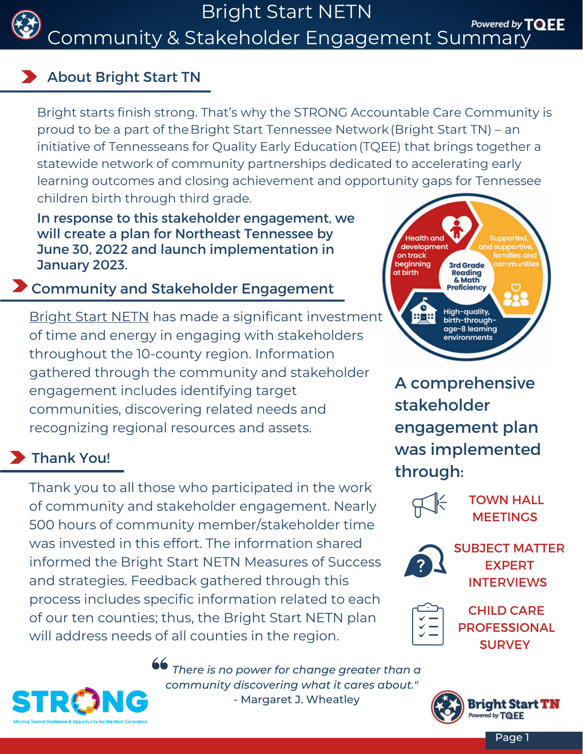

Bright Start NETN

Powered by TOEE Community & Stakeholder Engagement Summar

### About Bright Start TN

Bright starts finish strong. That's why the STRONG Accountable Care Community is proud to be a part of theBright Start [Tennessee](https://tqee.org/bright-start/) Network(Bright Start TN) – an initiative of [Tennesseans](https://tqee.org/) for Quality Early Education(TQEE) that brings together a statewide network of community partnerships dedicated to accelerating early learning outcomes and closing achievement and opportunity gaps for Tennessee children birth through third grade.

In response to this stakeholder engagement, we will create a plan for Northeast Tennessee by June 30, 2022 and launch implementation in January 2023.

## **Z** Community and Stakeholder Engagement

[Bright](https://www.strongacc.org/brightstart/) Start NETN has made a significant investment of time and energy in engaging with stakeholders throughout the 10-county region. Information gathered through the community and stakeholder engagement includes identifying target communities, discovering related needs and recognizing regional resources and assets.

## **Thank You!**

Thank you to all those who participated in the work of community and stakeholder engagement. Nearly 500 hours of community member/stakeholder time was invested in this effort. The information shared informed the Bright Start NETN Measures of Success and strategies. Feedback gathered through this process includes specific information related to each of our ten counties; thus, the Bright Start NETN plan will address needs of all counties in the region.



A comprehensive stakeholder engagement plan was implemented through:



TOWN HALL **MEETINGS** 



SUBJECT MATTER EXPERT INTERVIEWS



CHILD CARE PROFESSIONAL **SURVEY** 

*There is no power for change greater than a community discovering what it cares about."* - Margaret J. Wheatley

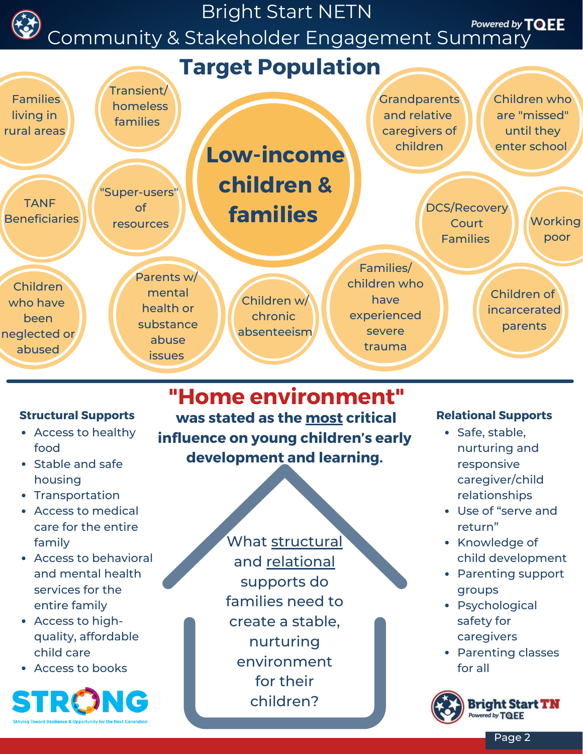

- Access to healthy food
- Stable and safe housing
- Transportation
- Access to medical care for the entire family
- Access to behavioral and mental health services for the entire family
- Access to highquality, affordable child care
- Access to books



**was stated as the most critical Structural Supports Relational Supports influence on young children's early development and learning. "Home environment"**

What structural

and relational

supports do

families need to

create a stable,

nurturing environment

for their

children?

- Safe, stable, nurturing and responsive caregiver/child relationships
- Use of "serve and return"
- Knowledge of child development
- Parenting support groups
- Psychological safety for caregivers
- Parenting classes for all



Page 2